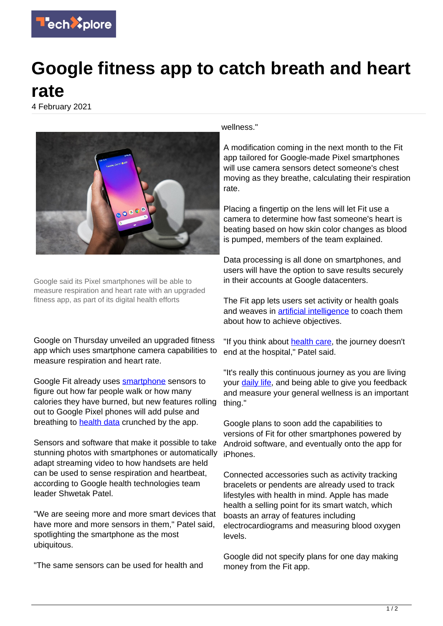

## **Google fitness app to catch breath and heart rate**

4 February 2021



Google said its Pixel smartphones will be able to measure respiration and heart rate with an upgraded fitness app, as part of its digital health efforts

Google on Thursday unveiled an upgraded fitness app which uses smartphone camera capabilities to measure respiration and heart rate.

Google Fit already uses [smartphone](https://techxplore.com/tags/smartphone/) sensors to figure out how far people walk or how many calories they have burned, but new features rolling out to Google Pixel phones will add pulse and breathing to **health data** crunched by the app.

Sensors and software that make it possible to take stunning photos with smartphones or automatically adapt streaming video to how handsets are held can be used to sense respiration and heartbeat, according to Google health technologies team leader Shwetak Patel.

"We are seeing more and more smart devices that have more and more sensors in them," Patel said, spotlighting the smartphone as the most ubiquitous.

"The same sensors can be used for health and

wellness."

A modification coming in the next month to the Fit app tailored for Google-made Pixel smartphones will use camera sensors detect someone's chest moving as they breathe, calculating their respiration rate.

Placing a fingertip on the lens will let Fit use a camera to determine how fast someone's heart is beating based on how skin color changes as blood is pumped, members of the team explained.

Data processing is all done on smartphones, and users will have the option to save results securely in their accounts at Google datacenters.

The Fit app lets users set activity or health goals and weaves in **[artificial intelligence](https://techxplore.com/tags/artificial+intelligence/)** to coach them about how to achieve objectives.

"If you think about [health care,](https://techxplore.com/tags/health+care/) the journey doesn't end at the hospital," Patel said.

"It's really this continuous journey as you are living your [daily life,](https://techxplore.com/tags/daily+life/) and being able to give you feedback and measure your general wellness is an important thing."

Google plans to soon add the capabilities to versions of Fit for other smartphones powered by Android software, and eventually onto the app for iPhones.

Connected accessories such as activity tracking bracelets or pendents are already used to track lifestyles with health in mind. Apple has made health a selling point for its smart watch, which boasts an array of features including electrocardiograms and measuring blood oxygen levels.

Google did not specify plans for one day making money from the Fit app.